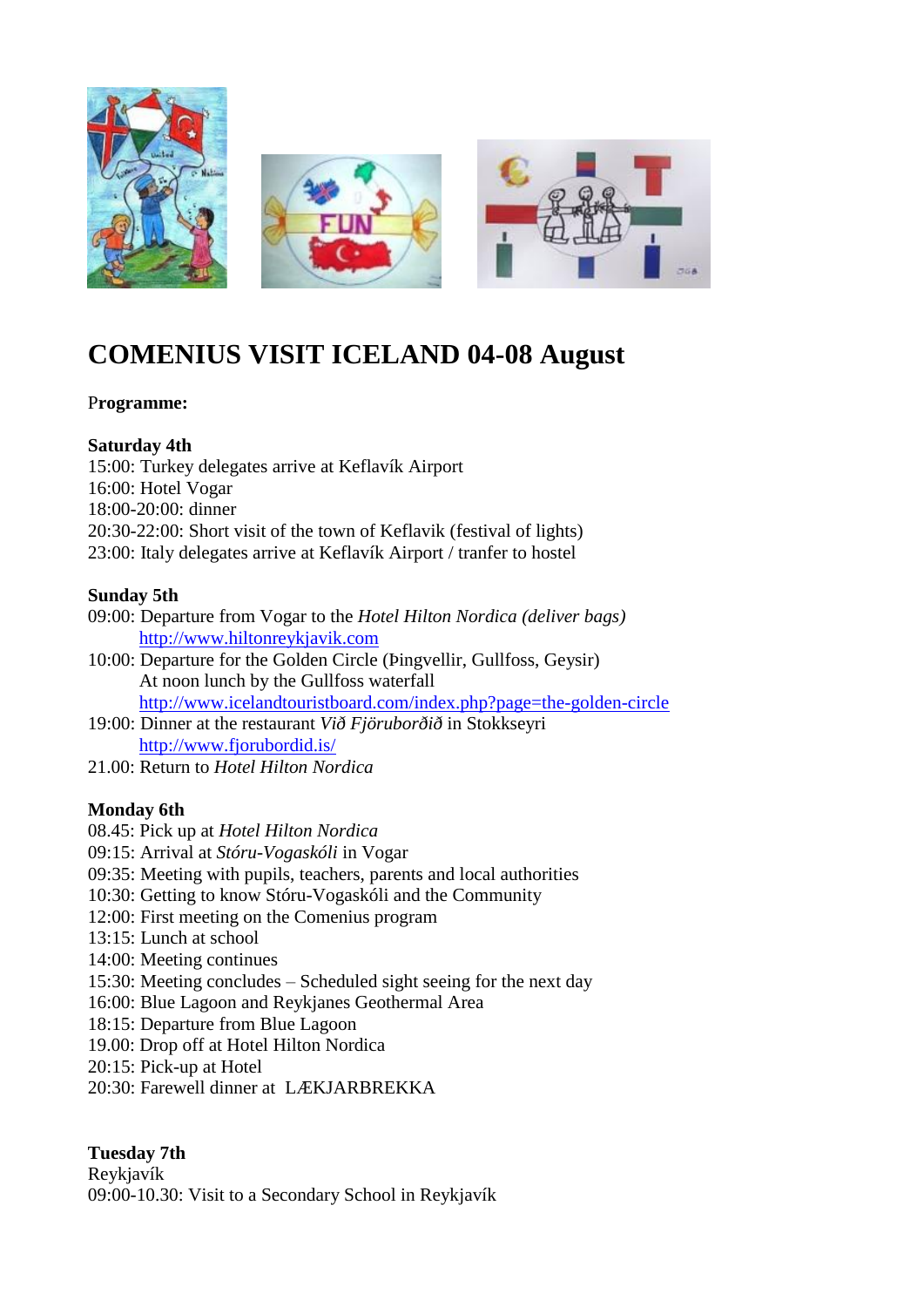

# **COMENIUS VISIT ICELAND 04-08 August**

## P**rogramme:**

#### **Saturday 4th**

15:00: Turkey delegates arrive at Keflavík Airport

16:00: Hotel Vogar

18:00-20:00: dinner

20:30-22:00: Short visit of the town of Keflavik (festival of lights)

23:00: Italy delegates arrive at Keflavík Airport / tranfer to hostel

## **Sunday 5th**

- 09:00: Departure from Vogar to the *Hotel Hilton Nordica (deliver bags)* [http://www.hiltonreykjavik.com](http://www.hiltonreykjavik.com/)
- 10:00: Departure for the Golden Circle (Þingvellir, Gullfoss, Geysir) At noon lunch by the Gullfoss waterfall <http://www.icelandtouristboard.com/index.php?page=the-golden-circle>
- 19:00: Dinner at the restaurant *Við Fjöruborðið* in Stokkseyri <http://www.fjorubordid.is/>
- 21.00: Return to *Hotel Hilton Nordica*

## **Monday 6th**

- 08.45: Pick up at *Hotel Hilton Nordica*
- 09:15: Arrival at *Stóru-Vogaskóli* in Vogar
- 09:35: Meeting with pupils, teachers, parents and local authorities
- 10:30: Getting to know Stóru-Vogaskóli and the Community
- 12:00: First meeting on the Comenius program
- 13:15: Lunch at school
- 14:00: Meeting continues
- 15:30: Meeting concludes Scheduled sight seeing for the next day
- 16:00: Blue Lagoon and Reykjanes Geothermal Area
- 18:15: Departure from Blue Lagoon
- 19.00: Drop off at Hotel Hilton Nordica
- 20:15: Pick-up at Hotel
- 20:30: Farewell dinner at LÆKJARBREKKA

## **Tuesday 7th**

Reykjavík 09:00-10.30: Visit to a Secondary School in Reykjavík